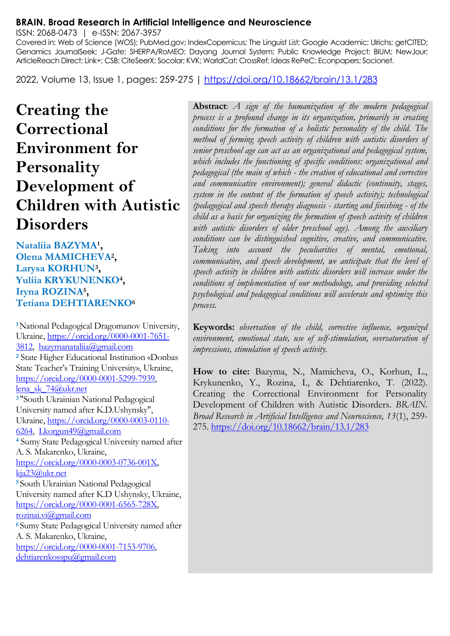#### **BRAIN. Broad Research in Artificial Intelligence and Neuroscience**

ISSN: 2068-0473 | e-ISSN: 2067-3957

Covered in: Web of Science (WOS); PubMed.gov; IndexCopernicus; The Linguist List; Google Academic; Ulrichs; getCITED; Genamics JournalSeek; J-Gate; SHERPA/RoMEO; Dayang Journal System; Public Knowledge Project; BIUM; NewJour; ArticleReach Direct; Link+; CSB; CiteSeerX; Socolar; KVK; WorldCat; CrossRef; Ideas RePeC; Econpapers; Socionet.

2022, Volume 13, Issue 1, pages: 259-275 |<https://doi.org/10.18662/brain/13.1/283>

# **Creating the Correctional Environment for Personality Development of Children with Autistic Disorders**

Nataliia BAZYMA<sup>1</sup>, **Olena MAMICHEVA<sup>2</sup> , Larysa KORHUN<sup>3</sup> , Yuliia KRYKUNENKO<sup>4</sup> , Iryna ROZINA<sup>5</sup> , Tetiana DEHTIARENKO<sup>6</sup>**

**<sup>1</sup>**National Pedagogical Dragomanov University, Ukraine[, https://orcid.org/0000-0001-7651-](https://orcid.org/0000-0001-7651-3812) [3812,](https://orcid.org/0000-0001-7651-3812) [bazymanataliia@gmail.com](mailto:bazymanataliia@gmail.com) **<sup>2</sup>** State Higher Educational Institution «Donbas State Teacher's Training University», Ukraine, [https://orcid.org/0000-0001-5299-7939,](https://orcid.org/0000-0001-5299-7939)  lena sk 74@ukr.net **<sup>3</sup>**"South Ukrainian National Pedagogical University named after K.D.Ushynsky", Ukraine[, https://orcid.org/0000-0003-0110-](https://orcid.org/0000-0003-0110-6264) [6264,](https://orcid.org/0000-0003-0110-6264) [Lkorgun49@gmail.com](mailto:Lkorgun49@gmail.com) **<sup>4</sup>** Sumy State Pedagogical University named after A. S. Makarenko, Ukraine, [https://orcid.org/0000-0003-0736-001X,](https://orcid.org/0000-0003-0736-001X) [kja23@ukr.net](mailto:kja23@ukr.net)  **<sup>5</sup>**South Ukrainian National Pedagogical University named after K.D Ushynsky, Ukraine, [https://orcid.org/0000-0001-6565-728X,](https://orcid.org/0000-0001-6565-728X) [rozinai.vi@gmail.com](mailto:rozinai.vi@gmail.com)  **<sup>6</sup>**Sumy State Pedagogical University named after A. S. Makarenko, Ukraine, [https://orcid.org/0000-0001-7153-9706,](https://orcid.org/0000-0001-7153-9706) 

[dehtiarenkosspu@gmail.com](mailto:dehtiarenkosspu@gmail.com)

**Abstract**: *A sign of the humanization of the modern pedagogical process is a profound change in its organization, primarily in creating conditions for the formation of a holistic personality of the child. The method of forming speech activity of children with autistic disorders of senior preschool age can act as an organizational and pedagogical system, which includes the functioning of specific conditions: organizational and pedagogical (the main of which - the creation of educational and corrective and communicative environment); general didactic (continuity, stages, system in the content of the formation of speech activity); technological (pedagogical and speech therapy diagnosis - starting and finishing - of the child as a basis for organizing the formation of speech activity of children with autistic disorders of older preschool age). Among the auxiliary conditions can be distinguished cognitive, creative, and communicative. Taking into account the peculiarities of mental, emotional, communicative, and speech development, we anticipate that the level of speech activity in children with autistic disorders will increase under the conditions of implementation of our methodology, and providing selected psychological and pedagogical conditions will accelerate and optimize this process.*

**Keywords:** *observation of the child, corrective influence, organized environment, emotional state, use of self-stimulation, oversaturation of impressions, stimulation of speech activity.*

**How to cite:** Bazyma, N., Mamicheva, O., Korhun, L., Krykunenko, Y., Rozina, I., & Dehtiarenko, T. (2022). Creating the Correctional Environment for Personality Development of Children with Autistic Disorders. *BRAIN. Broad Research in Artificial Intelligence and Neuroscience, 13*(1), 259- 275.<https://doi.org/10.18662/brain/13.1/283>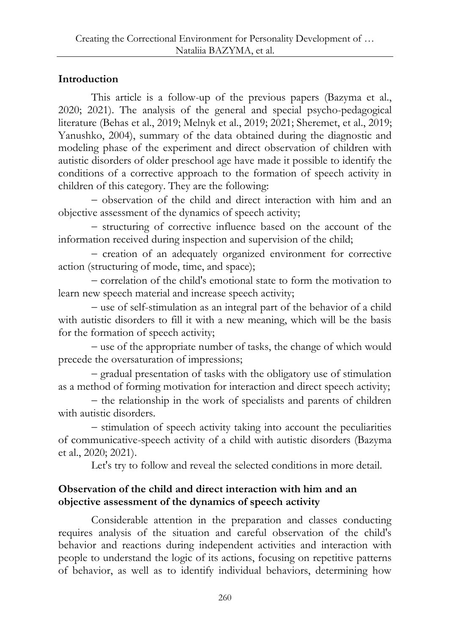# **Introduction**

This article is a follow-up of the previous papers (Bazyma et al., 2020; 2021). The analysis of the general and special psycho-pedagogical literature (Behas et al., 2019; Melnyk et al., 2019; 2021; Sheremet, et al., 2019; Yanushko, 2004), summary of the data obtained during the diagnostic and modeling phase of the experiment and direct observation of children with autistic disorders of older preschool age have made it possible to identify the conditions of a corrective approach to the formation of speech activity in children of this category. They are the following:

- observation of the child and direct interaction with him and an objective assessment of the dynamics of speech activity;

- structuring of corrective influence based on the account of the information received during inspection and supervision of the child;

- creation of an adequately organized environment for corrective action (structuring of mode, time, and space);

- correlation of the child's emotional state to form the motivation to learn new speech material and increase speech activity;

 use of self-stimulation as an integral part of the behavior of a child with autistic disorders to fill it with a new meaning, which will be the basis for the formation of speech activity;

– use of the appropriate number of tasks, the change of which would precede the oversaturation of impressions;

- gradual presentation of tasks with the obligatory use of stimulation as a method of forming motivation for interaction and direct speech activity;

 $-$  the relationship in the work of specialists and parents of children with autistic disorders.

- stimulation of speech activity taking into account the peculiarities of communicative-speech activity of a child with autistic disorders (Bazyma et al., 2020; 2021).

Let's try to follow and reveal the selected conditions in more detail.

## **Observation of the child and direct interaction with him and an objective assessment of the dynamics of speech activity**

Considerable attention in the preparation and classes conducting requires analysis of the situation and careful observation of the child's behavior and reactions during independent activities and interaction with people to understand the logic of its actions, focusing on repetitive patterns of behavior, as well as to identify individual behaviors, determining how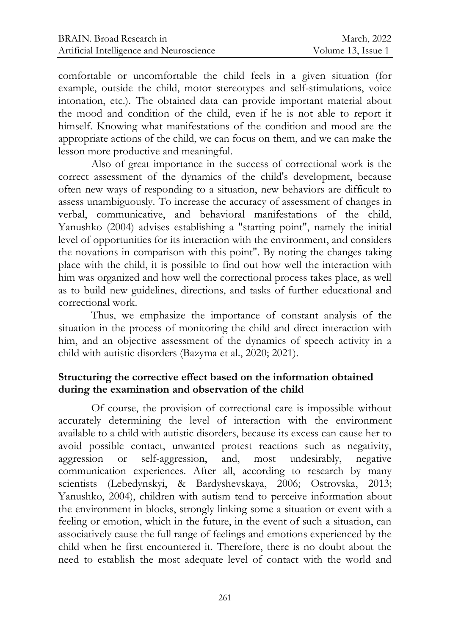comfortable or uncomfortable the child feels in a given situation (for example, outside the child, motor stereotypes and self-stimulations, voice intonation, etc.). The obtained data can provide important material about the mood and condition of the child, even if he is not able to report it himself. Knowing what manifestations of the condition and mood are the appropriate actions of the child, we can focus on them, and we can make the lesson more productive and meaningful.

Also of great importance in the success of correctional work is the correct assessment of the dynamics of the child's development, because often new ways of responding to a situation, new behaviors are difficult to assess unambiguously. To increase the accuracy of assessment of changes in verbal, communicative, and behavioral manifestations of the child, Yanushko (2004) advises establishing a "starting point", namely the initial level of opportunities for its interaction with the environment, and considers the novations in comparison with this point". By noting the changes taking place with the child, it is possible to find out how well the interaction with him was organized and how well the correctional process takes place, as well as to build new guidelines, directions, and tasks of further educational and correctional work.

Thus, we emphasize the importance of constant analysis of the situation in the process of monitoring the child and direct interaction with him, and an objective assessment of the dynamics of speech activity in a child with autistic disorders (Bazyma et al., 2020; 2021).

## **Structuring the corrective effect based on the information obtained during the examination and observation of the child**

Of course, the provision of correctional care is impossible without accurately determining the level of interaction with the environment available to a child with autistic disorders, because its excess can cause her to avoid possible contact, unwanted protest reactions such as negativity, aggression or self-aggression, and, most undesirably, negative communication experiences. After all, according to research by many scientists (Lebedynskyi, & Bardyshevskaya, 2006; Оstrovska, 2013; Yanushko, 2004), children with autism tend to perceive information about the environment in blocks, strongly linking some a situation or event with a feeling or emotion, which in the future, in the event of such a situation, can associatively cause the full range of feelings and emotions experienced by the child when he first encountered it. Therefore, there is no doubt about the need to establish the most adequate level of contact with the world and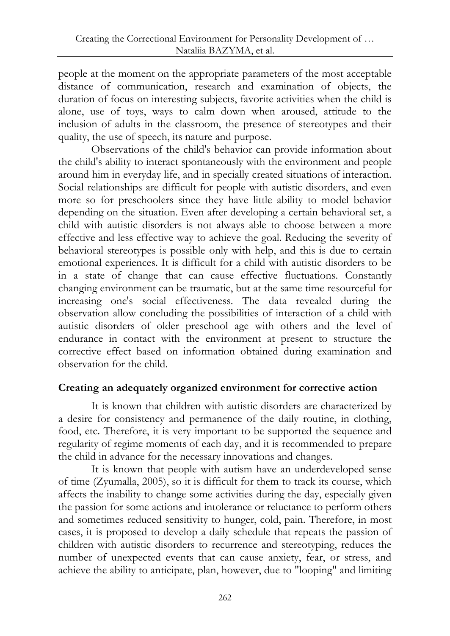people at the moment on the appropriate parameters of the most acceptable distance of communication, research and examination of objects, the duration of focus on interesting subjects, favorite activities when the child is alone, use of toys, ways to calm down when aroused, attitude to the inclusion of adults in the classroom, the presence of stereotypes and their quality, the use of speech, its nature and purpose.

Observations of the child's behavior can provide information about the child's ability to interact spontaneously with the environment and people around him in everyday life, and in specially created situations of interaction. Social relationships are difficult for people with autistic disorders, and even more so for preschoolers since they have little ability to model behavior depending on the situation. Even after developing a certain behavioral set, a child with autistic disorders is not always able to choose between a more effective and less effective way to achieve the goal. Reducing the severity of behavioral stereotypes is possible only with help, and this is due to certain emotional experiences. It is difficult for a child with autistic disorders to be in a state of change that can cause effective fluctuations. Constantly changing environment can be traumatic, but at the same time resourceful for increasing one's social effectiveness. The data revealed during the observation allow concluding the possibilities of interaction of a child with autistic disorders of older preschool age with others and the level of endurance in contact with the environment at present to structure the corrective effect based on information obtained during examination and observation for the child.

## **Creating an adequately organized environment for corrective action**

It is known that children with autistic disorders are characterized by a desire for consistency and permanence of the daily routine, in clothing, food, etc. Therefore, it is very important to be supported the sequence and regularity of regime moments of each day, and it is recommended to prepare the child in advance for the necessary innovations and changes.

It is known that people with autism have an underdeveloped sense of time (Zyumalla, 2005), so it is difficult for them to track its course, which affects the inability to change some activities during the day, especially given the passion for some actions and intolerance or reluctance to perform others and sometimes reduced sensitivity to hunger, cold, pain. Therefore, in most cases, it is proposed to develop a daily schedule that repeats the passion of children with autistic disorders to recurrence and stereotyping, reduces the number of unexpected events that can cause anxiety, fear, or stress, and achieve the ability to anticipate, plan, however, due to "looping" and limiting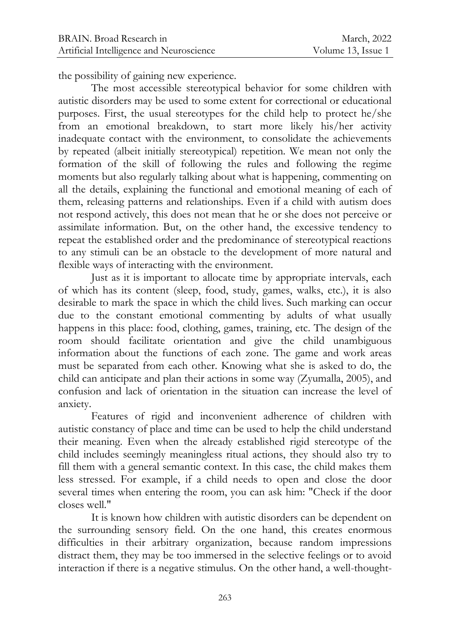the possibility of gaining new experience.

The most accessible stereotypical behavior for some children with autistic disorders may be used to some extent for correctional or educational purposes. First, the usual stereotypes for the child help to protect he/she from an emotional breakdown, to start more likely his/her activity inadequate contact with the environment, to consolidate the achievements by repeated (albeit initially stereotypical) repetition. We mean not only the formation of the skill of following the rules and following the regime moments but also regularly talking about what is happening, commenting on all the details, explaining the functional and emotional meaning of each of them, releasing patterns and relationships. Even if a child with autism does not respond actively, this does not mean that he or she does not perceive or assimilate information. But, on the other hand, the excessive tendency to repeat the established order and the predominance of stereotypical reactions to any stimuli can be an obstacle to the development of more natural and flexible ways of interacting with the environment.

Just as it is important to allocate time by appropriate intervals, each of which has its content (sleep, food, study, games, walks, etc.), it is also desirable to mark the space in which the child lives. Such marking can occur due to the constant emotional commenting by adults of what usually happens in this place: food, clothing, games, training, etc. The design of the room should facilitate orientation and give the child unambiguous information about the functions of each zone. The game and work areas must be separated from each other. Knowing what she is asked to do, the child can anticipate and plan their actions in some way (Zyumalla, 2005), and confusion and lack of orientation in the situation can increase the level of anxiety.

Features of rigid and inconvenient adherence of children with autistic constancy of place and time can be used to help the child understand their meaning. Even when the already established rigid stereotype of the child includes seemingly meaningless ritual actions, they should also try to fill them with a general semantic context. In this case, the child makes them less stressed. For example, if a child needs to open and close the door several times when entering the room, you can ask him: "Check if the door closes well."

It is known how children with autistic disorders can be dependent on the surrounding sensory field. On the one hand, this creates enormous difficulties in their arbitrary organization, because random impressions distract them, they may be too immersed in the selective feelings or to avoid interaction if there is a negative stimulus. On the other hand, a well-thought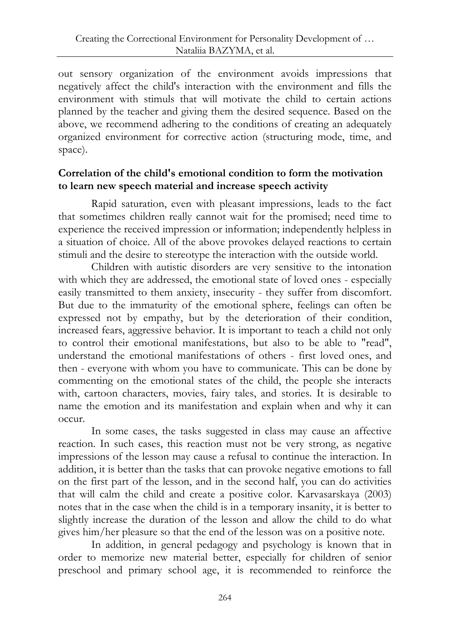out sensory organization of the environment avoids impressions that negatively affect the child's interaction with the environment and fills the environment with stimuls that will motivate the child to certain actions planned by the teacher and giving them the desired sequence. Based on the above, we recommend adhering to the conditions of creating an adequately organized environment for corrective action (structuring mode, time, and space).

## **Correlation of the child's emotional condition to form the motivation to learn new speech material and increase speech activity**

Rapid saturation, even with pleasant impressions, leads to the fact that sometimes children really cannot wait for the promised; need time to experience the received impression or information; independently helpless in a situation of choice. All of the above provokes delayed reactions to certain stimuli and the desire to stereotype the interaction with the outside world.

Children with autistic disorders are very sensitive to the intonation with which they are addressed, the emotional state of loved ones - especially easily transmitted to them anxiety, insecurity - they suffer from discomfort. But due to the immaturity of the emotional sphere, feelings can often be expressed not by empathy, but by the deterioration of their condition, increased fears, aggressive behavior. It is important to teach a child not only to control their emotional manifestations, but also to be able to "read", understand the emotional manifestations of others - first loved ones, and then - everyone with whom you have to communicate. This can be done by commenting on the emotional states of the child, the people she interacts with, cartoon characters, movies, fairy tales, and stories. It is desirable to name the emotion and its manifestation and explain when and why it can occur.

In some cases, the tasks suggested in class may cause an affective reaction. In such cases, this reaction must not be very strong, as negative impressions of the lesson may cause a refusal to continue the interaction. In addition, it is better than the tasks that can provoke negative emotions to fall on the first part of the lesson, and in the second half, you can do activities that will calm the child and create a positive color. Karvasarskaya (2003) notes that in the case when the child is in a temporary insanity, it is better to slightly increase the duration of the lesson and allow the child to do what gives him/her pleasure so that the end of the lesson was on a positive note.

In addition, in general pedagogy and psychology is known that in order to memorize new material better, especially for children of senior preschool and primary school age, it is recommended to reinforce the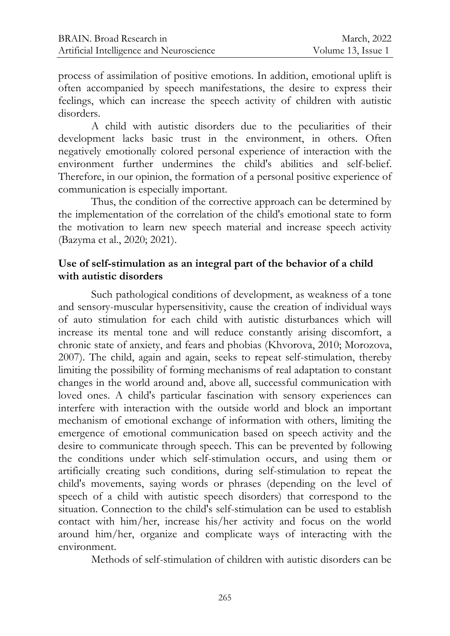process of assimilation of positive emotions. In addition, emotional uplift is often accompanied by speech manifestations, the desire to express their feelings, which can increase the speech activity of children with autistic disorders.

A child with autistic disorders due to the peculiarities of their development lacks basic trust in the environment, in others. Often negatively emotionally colored personal experience of interaction with the environment further undermines the child's abilities and self-belief. Therefore, in our opinion, the formation of a personal positive experience of communication is especially important.

Thus, the condition of the corrective approach can be determined by the implementation of the correlation of the child's emotional state to form the motivation to learn new speech material and increase speech activity (Bazyma et al., 2020; 2021).

## **Use of self-stimulation as an integral part of the behavior of a child with autistic disorders**

Such pathological conditions of development, as weakness of a tone and sensory-muscular hypersensitivity, cause the creation of individual ways of auto stimulation for each child with autistic disturbances which will increase its mental tone and will reduce constantly arising discomfort, a chronic state of anxiety, and fears and phobias (Khvorova, 2010; Morozova, 2007). The child, again and again, seeks to repeat self-stimulation, thereby limiting the possibility of forming mechanisms of real adaptation to constant changes in the world around and, above all, successful communication with loved ones. A child's particular fascination with sensory experiences can interfere with interaction with the outside world and block an important mechanism of emotional exchange of information with others, limiting the emergence of emotional communication based on speech activity and the desire to communicate through speech. This can be prevented by following the conditions under which self-stimulation occurs, and using them or artificially creating such conditions, during self-stimulation to repeat the child's movements, saying words or phrases (depending on the level of speech of a child with autistic speech disorders) that correspond to the situation. Connection to the child's self-stimulation can be used to establish contact with him/her, increase his/her activity and focus on the world around him/her, organize and complicate ways of interacting with the environment.

Methods of self-stimulation of children with autistic disorders can be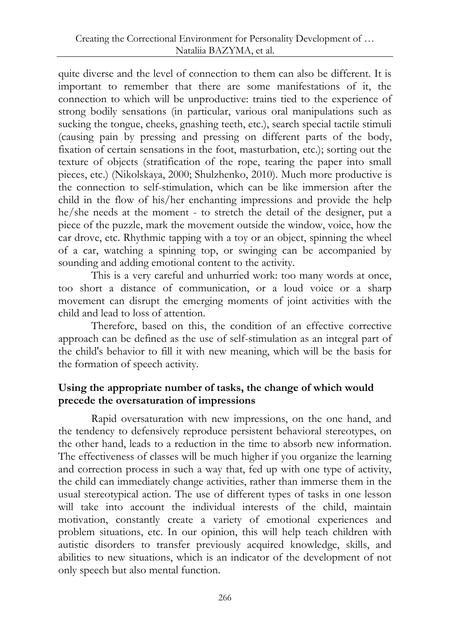quite diverse and the level of connection to them can also be different. It is important to remember that there are some manifestations of it, the connection to which will be unproductive: trains tied to the experience of strong bodily sensations (in particular, various oral manipulations such as sucking the tongue, cheeks, gnashing teeth, etc.), search special tactile stimuli (causing pain by pressing and pressing on different parts of the body, fixation of certain sensations in the foot, masturbation, etc.); sorting out the texture of objects (stratification of the rope, tearing the paper into small pieces, etc.) (Nikolskaya, 2000; Shulzhenko, 2010). Much more productive is the connection to self-stimulation, which can be like immersion after the child in the flow of his/her enchanting impressions and provide the help he/she needs at the moment - to stretch the detail of the designer, put a piece of the puzzle, mark the movement outside the window, voice, how the car drove, etc. Rhythmic tapping with a toy or an object, spinning the wheel of a car, watching a spinning top, or swinging can be accompanied by sounding and adding emotional content to the activity.

This is a very careful and unhurried work: too many words at once, too short a distance of communication, or a loud voice or a sharp movement can disrupt the emerging moments of joint activities with the child and lead to loss of attention.

Therefore, based on this, the condition of an effective corrective approach can be defined as the use of self-stimulation as an integral part of the child's behavior to fill it with new meaning, which will be the basis for the formation of speech activity.

# **Using the appropriate number of tasks, the change of which would precede the oversaturation of impressions**

Rapid oversaturation with new impressions, on the one hand, and the tendency to defensively reproduce persistent behavioral stereotypes, on the other hand, leads to a reduction in the time to absorb new information. The effectiveness of classes will be much higher if you organize the learning and correction process in such a way that, fed up with one type of activity, the child can immediately change activities, rather than immerse them in the usual stereotypical action. The use of different types of tasks in one lesson will take into account the individual interests of the child, maintain motivation, constantly create a variety of emotional experiences and problem situations, etc. In our opinion, this will help teach children with autistic disorders to transfer previously acquired knowledge, skills, and abilities to new situations, which is an indicator of the development of not only speech but also mental function.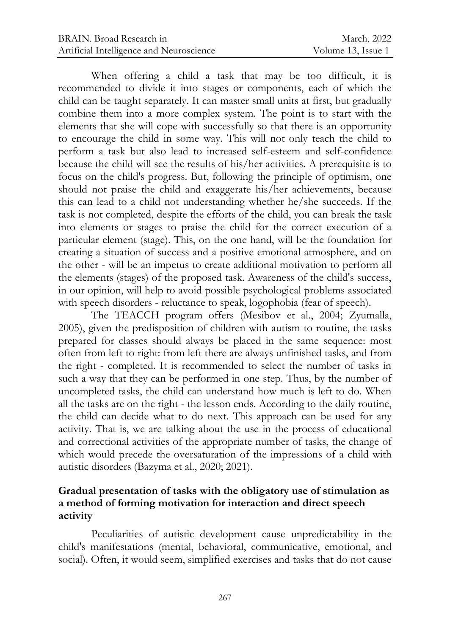When offering a child a task that may be too difficult, it is recommended to divide it into stages or components, each of which the child can be taught separately. It can master small units at first, but gradually combine them into a more complex system. The point is to start with the elements that she will cope with successfully so that there is an opportunity to encourage the child in some way. This will not only teach the child to perform a task but also lead to increased self-esteem and self-confidence because the child will see the results of his/her activities. A prerequisite is to focus on the child's progress. But, following the principle of optimism, one should not praise the child and exaggerate his/her achievements, because this can lead to a child not understanding whether he/she succeeds. If the task is not completed, despite the efforts of the child, you can break the task into elements or stages to praise the child for the correct execution of a particular element (stage). This, on the one hand, will be the foundation for creating a situation of success and a positive emotional atmosphere, and on the other - will be an impetus to create additional motivation to perform all the elements (stages) of the proposed task. Awareness of the child's success, in our opinion, will help to avoid possible psychological problems associated with speech disorders - reluctance to speak, logophobia (fear of speech).

The TEACCH program offers (Mesibov et al., 2004; Zyumalla, 2005), given the predisposition of children with autism to routine, the tasks prepared for classes should always be placed in the same sequence: most often from left to right: from left there are always unfinished tasks, and from the right - completed. It is recommended to select the number of tasks in such a way that they can be performed in one step. Thus, by the number of uncompleted tasks, the child can understand how much is left to do. When all the tasks are on the right - the lesson ends. According to the daily routine, the child can decide what to do next. This approach can be used for any activity. That is, we are talking about the use in the process of educational and correctional activities of the appropriate number of tasks, the change of which would precede the oversaturation of the impressions of a child with autistic disorders (Bazyma et al., 2020; 2021).

# **Gradual presentation of tasks with the obligatory use of stimulation as a method of forming motivation for interaction and direct speech activity**

Peculiarities of autistic development cause unpredictability in the child's manifestations (mental, behavioral, communicative, emotional, and social). Often, it would seem, simplified exercises and tasks that do not cause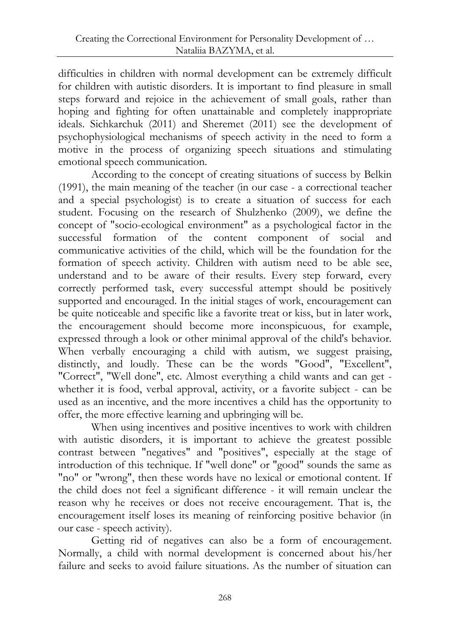difficulties in children with normal development can be extremely difficult for children with autistic disorders. It is important to find pleasure in small steps forward and rejoice in the achievement of small goals, rather than hoping and fighting for often unattainable and completely inappropriate ideals. Sichkarchuk (2011) and Sheremet (2011) see the development of psychophysiological mechanisms of speech activity in the need to form a motive in the process of organizing speech situations and stimulating emotional speech communication.

According to the concept of creating situations of success by Belkin (1991), the main meaning of the teacher (in our case - a correctional teacher and a special psychologist) is to create a situation of success for each student. Focusing on the research of Shulzhenko (2009), we define the concept of "socio-ecological environment" as a psychological factor in the successful formation of the content component of social and communicative activities of the child, which will be the foundation for the formation of speech activity. Children with autism need to be able see, understand and to be aware of their results. Every step forward, every correctly performed task, every successful attempt should be positively supported and encouraged. In the initial stages of work, encouragement can be quite noticeable and specific like a favorite treat or kiss, but in later work, the encouragement should become more inconspicuous, for example, expressed through a look or other minimal approval of the child's behavior. When verbally encouraging a child with autism, we suggest praising, distinctly, and loudly. These can be the words "Good", "Excellent", "Correct", "Well done", etc. Almost everything a child wants and can get whether it is food, verbal approval, activity, or a favorite subject - can be used as an incentive, and the more incentives a child has the opportunity to offer, the more effective learning and upbringing will be.

When using incentives and positive incentives to work with children with autistic disorders, it is important to achieve the greatest possible contrast between "negatives" and "positives", especially at the stage of introduction of this technique. If "well done" or "good" sounds the same as "no" or "wrong", then these words have no lexical or emotional content. If the child does not feel a significant difference - it will remain unclear the reason why he receives or does not receive encouragement. That is, the encouragement itself loses its meaning of reinforcing positive behavior (in our case - speech activity).

Getting rid of negatives can also be a form of encouragement. Normally, a child with normal development is concerned about his/her failure and seeks to avoid failure situations. As the number of situation can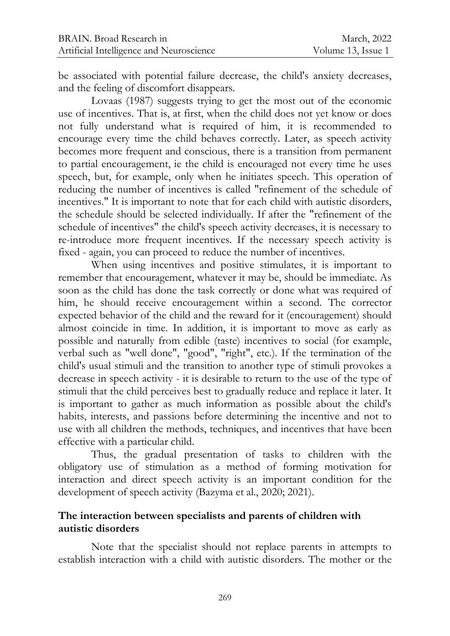be associated with potential failure decrease, the child's anxiety decreases, and the feeling of discomfort disappears.

Lovaas (1987) suggests trying to get the most out of the economic use of incentives. That is, at first, when the child does not yet know or does not fully understand what is required of him, it is recommended to encourage every time the child behaves correctly. Later, as speech activity becomes more frequent and conscious, there is a transition from permanent to partial encouragement, ie the child is encouraged not every time he uses speech, but, for example, only when he initiates speech. This operation of reducing the number of incentives is called "refinement of the schedule of incentives." It is important to note that for each child with autistic disorders, the schedule should be selected individually. If after the "refinement of the schedule of incentives" the child's speech activity decreases, it is necessary to re-introduce more frequent incentives. If the necessary speech activity is fixed - again, you can proceed to reduce the number of incentives.

When using incentives and positive stimulates, it is important to remember that encouragement, whatever it may be, should be immediate. As soon as the child has done the task correctly or done what was required of him, he should receive encouragement within a second. The corrector expected behavior of the child and the reward for it (encouragement) should almost coincide in time. In addition, it is important to move as early as possible and naturally from edible (taste) incentives to social (for example, verbal such as "well done", "good", "right", etc.). If the termination of the child's usual stimuli and the transition to another type of stimuli provokes a decrease in speech activity - it is desirable to return to the use of the type of stimuli that the child perceives best to gradually reduce and replace it later. It is important to gather as much information as possible about the child's habits, interests, and passions before determining the incentive and not to use with all children the methods, techniques, and incentives that have been effective with a particular child.

Thus, the gradual presentation of tasks to children with the obligatory use of stimulation as a method of forming motivation for interaction and direct speech activity is an important condition for the development of speech activity (Bazyma et al., 2020; 2021).

## **The interaction between specialists and parents of children with autistic disorders**

Note that the specialist should not replace parents in attempts to establish interaction with a child with autistic disorders. The mother or the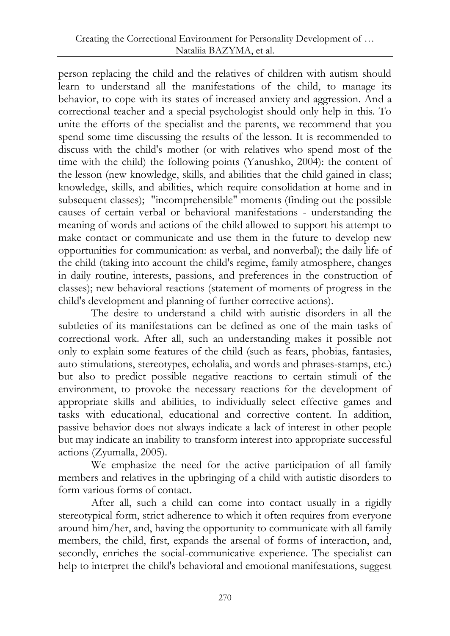person replacing the child and the relatives of children with autism should learn to understand all the manifestations of the child, to manage its behavior, to cope with its states of increased anxiety and aggression. And a correctional teacher and a special psychologist should only help in this. To unite the efforts of the specialist and the parents, we recommend that you spend some time discussing the results of the lesson. It is recommended to discuss with the child's mother (or with relatives who spend most of the time with the child) the following points (Yanushko, 2004): the content of the lesson (new knowledge, skills, and abilities that the child gained in class; knowledge, skills, and abilities, which require consolidation at home and in subsequent classes); "incomprehensible" moments (finding out the possible causes of certain verbal or behavioral manifestations - understanding the meaning of words and actions of the child allowed to support his attempt to make contact or communicate and use them in the future to develop new opportunities for communication: as verbal, and nonverbal); the daily life of the child (taking into account the child's regime, family atmosphere, changes in daily routine, interests, passions, and preferences in the construction of classes); new behavioral reactions (statement of moments of progress in the child's development and planning of further corrective actions).

The desire to understand a child with autistic disorders in all the subtleties of its manifestations can be defined as one of the main tasks of correctional work. After all, such an understanding makes it possible not only to explain some features of the child (such as fears, phobias, fantasies, auto stimulations, stereotypes, echolalia, and words and phrases-stamps, etc.) but also to predict possible negative reactions to certain stimuli of the environment, to provoke the necessary reactions for the development of appropriate skills and abilities, to individually select effective games and tasks with educational, educational and corrective content. In addition, passive behavior does not always indicate a lack of interest in other people but may indicate an inability to transform interest into appropriate successful actions (Zyumalla, 2005).

We emphasize the need for the active participation of all family members and relatives in the upbringing of a child with autistic disorders to form various forms of contact.

After all, such a child can come into contact usually in a rigidly stereotypical form, strict adherence to which it often requires from everyone around him/her, and, having the opportunity to communicate with all family members, the child, first, expands the arsenal of forms of interaction, and, secondly, enriches the social-communicative experience. The specialist can help to interpret the child's behavioral and emotional manifestations, suggest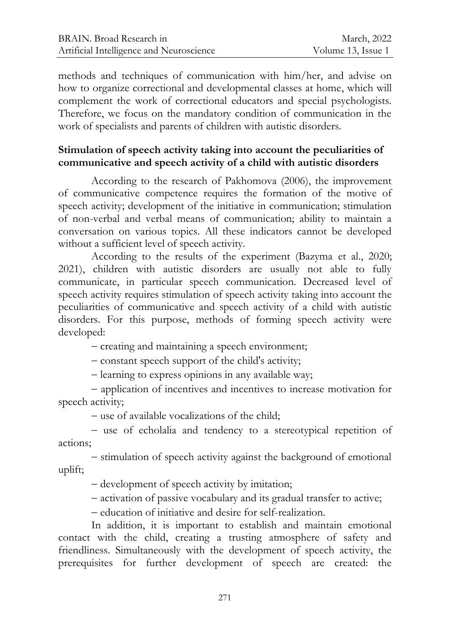methods and techniques of communication with him/her, and advise on how to organize correctional and developmental classes at home, which will complement the work of correctional educators and special psychologists. Therefore, we focus on the mandatory condition of communication in the work of specialists and parents of children with autistic disorders.

#### **Stimulation of speech activity taking into account the peculiarities of communicative and speech activity of a child with autistic disorders**

According to the research of Pakhomova (2006), the improvement of communicative competence requires the formation of the motive of speech activity; development of the initiative in communication; stimulation of non-verbal and verbal means of communication; ability to maintain a conversation on various topics. All these indicators cannot be developed without a sufficient level of speech activity.

According to the results of the experiment (Bazyma et al., 2020; 2021), children with autistic disorders are usually not able to fully communicate, in particular speech communication. Decreased level of speech activity requires stimulation of speech activity taking into account the peculiarities of communicative and speech activity of a child with autistic disorders. For this purpose, methods of forming speech activity were developed:

- creating and maintaining a speech environment;

- constant speech support of the child's activity;

- learning to express opinions in any available way;

 application of incentives and incentives to increase motivation for speech activity;

- use of available vocalizations of the child;

- use of echolalia and tendency to a stereotypical repetition of actions;

- stimulation of speech activity against the background of emotional uplift;

- development of speech activity by imitation;

- activation of passive vocabulary and its gradual transfer to active;

- education of initiative and desire for self-realization.

In addition, it is important to establish and maintain emotional contact with the child, creating a trusting atmosphere of safety and friendliness. Simultaneously with the development of speech activity, the prerequisites for further development of speech are created: the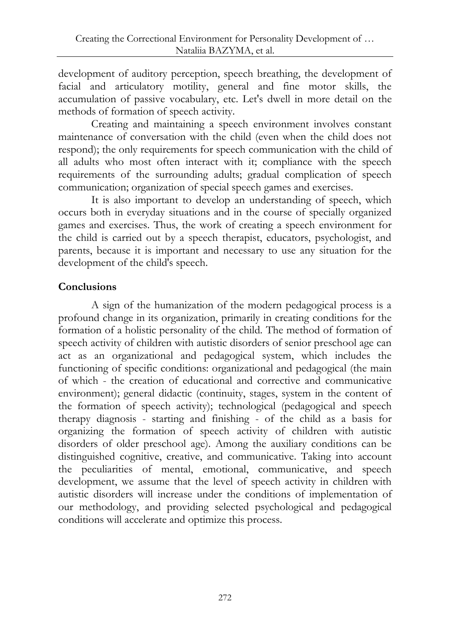development of auditory perception, speech breathing, the development of facial and articulatory motility, general and fine motor skills, the accumulation of passive vocabulary, etc. Let's dwell in more detail on the methods of formation of speech activity.

Creating and maintaining a speech environment involves constant maintenance of conversation with the child (even when the child does not respond); the only requirements for speech communication with the child of all adults who most often interact with it; compliance with the speech requirements of the surrounding adults; gradual complication of speech communication; organization of special speech games and exercises.

It is also important to develop an understanding of speech, which occurs both in everyday situations and in the course of specially organized games and exercises. Thus, the work of creating a speech environment for the child is carried out by a speech therapist, educators, psychologist, and parents, because it is important and necessary to use any situation for the development of the child's speech.

## **Conclusions**

A sign of the humanization of the modern pedagogical process is a profound change in its organization, primarily in creating conditions for the formation of a holistic personality of the child. The method of formation of speech activity of children with autistic disorders of senior preschool age can act as an organizational and pedagogical system, which includes the functioning of specific conditions: organizational and pedagogical (the main of which - the creation of educational and corrective and communicative environment); general didactic (continuity, stages, system in the content of the formation of speech activity); technological (pedagogical and speech therapy diagnosis - starting and finishing - of the child as a basis for organizing the formation of speech activity of children with autistic disorders of older preschool age). Among the auxiliary conditions can be distinguished cognitive, creative, and communicative. Taking into account the peculiarities of mental, emotional, communicative, and speech development, we assume that the level of speech activity in children with autistic disorders will increase under the conditions of implementation of our methodology, and providing selected psychological and pedagogical conditions will accelerate and optimize this process.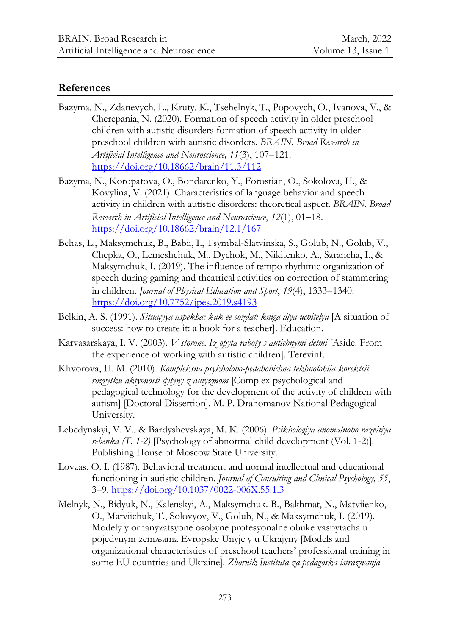#### **References**

- Bazyma, N., Zdanevych, L., Kruty, K., Tsehelnyk, T., Popovych, O., Ivanova, V., & Cherepania, N. (2020). Formation of speech activity in older preschool children with autistic disorders formation of speech activity in older preschool children with autistic disorders. *BRAIN. Broad Research in Artificial Intelligence and Neuroscience, 11(3), 107–121.* <https://doi.org/10.18662/brain/11.3/112>
- Bazyma, N., Koropatova, O., Bondarenko, Y., Forostian, O., Sokolova, H., & Kovylina, V. (2021). Characteristics of language behavior and speech activity in children with autistic disorders: theoretical aspect. *BRAIN. Broad Research in Artificial Intelligence and Neuroscience*, 12(1), 01–18. <https://doi.org/10.18662/brain/12.1/167>
- Behas, L., Maksymchuk, B., Babii, I., Tsymbal-Slatvinska, S., Golub, N., Golub, V., Chepka, O., Lemeshchuk, M., Dychok, M., Nikitenko, A., Sarancha, I., & Maksymchuk, I. (2019). The influence of tempo rhythmic organization of speech during gaming and theatrical activities on correction of stammering in children. *Journal of Physical Education and Sport*, 19(4), 1333–1340. <https://doi.org/10.7752/jpes.2019.s4193>
- Belkin, A. S. (1991). *Situacyya uspekha: kak ee sozdat: kniga dlya uchitelya* [A situation of success: how to create it: a book for a teacher]. Education.
- Karvasarskaya, I. V. (2003). *V storone. Iz opyta raboty s autichnymi detmi* [Aside. From the experience of working with autistic children]. Terevinf.
- Khvorova, H. M. (2010). *Kompleksna psykholoho-pedahohichna tekhnolohiia korektsii rozvytku aktyvnosti dytyny z autyzmom* [Complex psychological and pedagogical technology for the development of the activity of children with autism] [Doctoral Dissertion]. M. P. Drahomanov National Pedagogical University.
- Lebedynskyi, V. V., & Bardyshevskaya, M. K. (2006). *Psikhologiya anomalnoho razvitiya rebenka (T. 1-2)* [Psychology of abnormal child development (Vol. 1-2)]. Publishing House of Moscow State University.
- Lovaas, O. I. (1987). Behavioral treatment and normal intellectual and educational functioning in autistic children. *Journal of Consulting and Clinical Psychology, 55*, 3–9. [https://doi.org/10.1037/0022-006X.55.1.3](https://psycnet.apa.org/doi/10.1037/0022-006X.55.1.3)
- Melnyk, N., Bidyuk, N., Kalenskyi, A., Maksymchuk. B., Bakhmat, N., Matviienko, O., Matviichuk, T., Solovyov, V., Golub, N., & Maksymchuk, I. (2019). Modely y orhanyzatsyone osobyne profesyonalne obuke vaspytacha u poјedynym zemљama Evropske Unyјe y u Ukraјyny [Models and organizational characteristics of preschool teachers' professional training in some EU countries and Ukraine]. *Zbornik Instituta za pedagoska istrazivanja*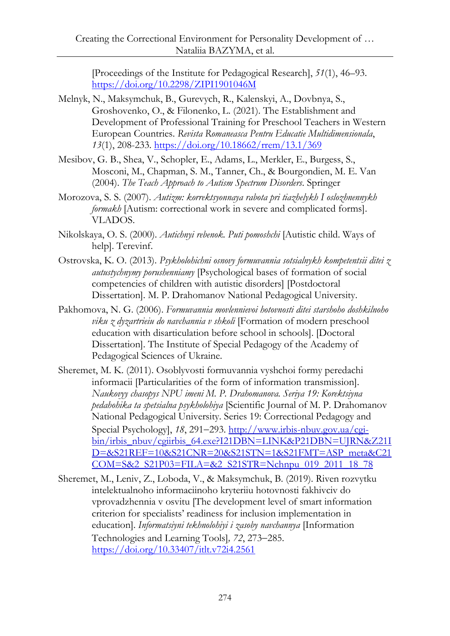[Proceedings of the Institute for Pedagogical Research], *51*(1), 46–93. <https://doi.org/10.2298/ZIPI1901046M>

- Melnyk, N., Maksymchuk, B., Gurevych, R., Kalenskyi, A., Dovbnya, S., Groshovenko, O., & Filonenko, L. (2021). The Establishment and Development of Professional Training for Preschool Teachers in Western European Countries. *Revista Romaneasca Pentru Educatie Multidimensionala*, *13*(1), 208-233.<https://doi.org/10.18662/rrem/13.1/369>
- Mesibov, G. B., Shea, V., Schopler, E., Adams, L., Merkler, E., Burgess, S., Mosconi, M., Chapman, S. M., Tanner, Ch., & Bourgondien, M. E. Van (2004). *The Teach Approach to Autism Spectrum Disorders*. Springer
- Morozova, S. S. (2007). *Autizm: korrektsyonnaya rabota pri tiazhelykh I oslozhnennykh formakh* [Autism: correctional work in severe and complicated forms]. VLADOS.
- Nikolskaya, O. S. (2000). *Autichnyi rebenok. Puti pomoshchi* [Autistic child. Ways of help]. Terevinf.
- Оstrovska, K. O. (2013). *Psykholohichni osnovy formuvannia sotsialnykh kompetentsii ditei z autustychnymy porushenniamy* [Psychological bases of formation of social competencies of children with autistic disorders] [Postdoctoral Dissertation]. M. P. Drahomanov National Pedagogical University.
- Pakhomova, N. G. (2006). *Formuvannia movlennievoi hotovnosti ditei starshoho doshkilnoho viku z dyzartrieiu do navchannia v shkoli* [Formation of modern preschool education with disarticulation before school in schools]. [Doctoral Dissertation]. The Institute of Special Pedagogy of the Academy of Pedagogical Sciences of Ukraine.
- Sheremet, M. K. (2011). Osoblyvosti formuvannia vyshchoi formy peredachi informacii [Particularities of the form of information transmission]. *Naukovyy chasopys NPU imeni M. P. Drahomanova. Seriya 19: Korektsiyna pedahohika ta spetsialna psykholohiya* [Scientific Journal of M. P. Drahomanov National Pedagogical University. Series 19: Correctional Pedagogy and Special Psychology], 18, 291–293. http://www.irbis-nbuv.gov.ua/cgibin/irbis\_nbuv/cgiirbis\_64.exe?I21DBN=LINK&P21DBN=UJRN&Z21I D=&S21REF=10&S21CNR=20&S21STN=1&S21FMT=ASP\_meta&C21 COM=S&2\_S21P03=FILA=&2\_S21STR=Nchnpu\_019\_2011\_18\_78
- Sheremet, M., Leniv, Z., Loboda, V., & Maksymchuk, B. (2019). Riven rozvytku intelektualnoho informaciinoho kryteriiu hotovnosti fakhivciv do vprovadzhennia v osvitu [The development level of smart information criterion for specialists' readiness for inclusion implementation in education]. *Informatsiyni tekhnolohiyi i zasoby navchannya* [Information Technologies and Learning Tools], 72, 273-285. <https://doi.org/10.33407/itlt.v72i4.2561>